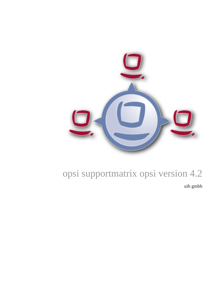

# opsi supportmatrix opsi version 4.2

uib gmbh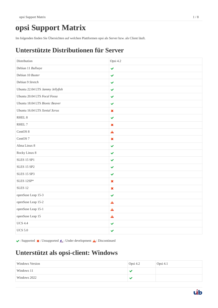# **opsi Support Matrix**

Im folgenden finden Sie Übersichten auf welchen Plattformen opsi als Server bzw. als Client läuft.

## **Unterstützte Distributionen für Server**

| Distribution                     | Opsi 4.2                  |
|----------------------------------|---------------------------|
| Debian 11 Bullseye               | $\checkmark$              |
| Debian 10 Buster                 | $\checkmark$              |
| Debian 9 Stretch                 | $\checkmark$              |
| Ubuntu 22.04 LTS Jammy Jellyfish | ✔                         |
| Ubuntu 20.04 LTS Focal Fossa     | ✔                         |
| Ubuntu 18.04 LTS Bionic Beaver   | ✔                         |
| Ubuntu 16.04 LTS Xenial Xerus    | $\pmb{\times}$            |
| RHEL <sub>8</sub>                | $\checkmark$              |
| RHEL 7                           | $\boldsymbol{\mathsf{x}}$ |
| CentOS 8                         | $\blacktriangle$          |
| CentOS <sub>7</sub>              | $\pmb{\times}$            |
| Alma Linux 8                     | $\checkmark$              |
| Rocky Linux 8                    | $\checkmark$              |
| <b>SLES 15 SP1</b>               | ✔                         |
| <b>SLES 15 SP2</b>               | $\checkmark$              |
| <b>SLES 15 SP3</b>               | $\checkmark$              |
| SLES 12SP*                       | $\pmb{\times}$            |
| <b>SLES 12</b>                   | $\pmb{\times}$            |
| openSuse Leap 15-3               | $\checkmark$              |
| openSuse Leap 15-2               | $\triangle$               |
| openSuse Leap 15-1               | $\triangle$               |
| openSuse Leap 15                 | A                         |
| <b>UCS 4.4</b>                   | ✔                         |
| <b>UCS 5.0</b>                   | $\checkmark$              |

 $\blacktriangleright$ : Supported  $\blacktriangleright$ : Unsupported  $\mathcal{R}_\blacksquare$ : Under development  $\blacktriangle$ : Discontinued

### **Unterstützt als opsi-client: Windows**

| Windows Version | Opsi 4.2 | Opsi 4.1 |
|-----------------|----------|----------|
| Windows 11      |          |          |
| Windows 2022    |          |          |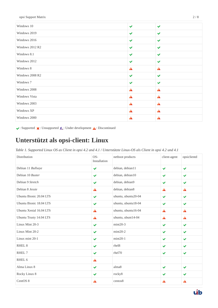opsi Support Matrix 2 / 8

| Windows 10      | $\blacktriangledown$ | $\checkmark$         |
|-----------------|----------------------|----------------------|
| Windows 2019    | $\blacktriangledown$ | $\blacktriangledown$ |
| Windows 2016    | $\checkmark$         | $\checkmark$         |
| Windows 2012 R2 | $\checkmark$         | $\blacktriangledown$ |
| Windows 8.1     | $\blacktriangledown$ | $\checkmark$         |
| Windows 2012    | $\checkmark$         | $\checkmark$         |
| Windows 8       | $\blacktriangle$     | A                    |
| Windows 2008 R2 | $\checkmark$         | $\blacktriangledown$ |
| Windows 7       | $\blacktriangledown$ | $\blacktriangledown$ |
| Windows 2008    | $\blacktriangle$     | A                    |
| Windows Vista   | $\blacktriangle$     | $\blacktriangle$     |
| Windows 2003    | $\blacktriangle$     | $\blacktriangle$     |
| Windows XP      | $\blacktriangle$     | $\blacktriangle$     |
| Windows 2000    | A                    | A                    |

 $\blacktriangleright$ : Supported  $\blacktriangleright$ : Unsupported  $\mathcal{R}_\blacktriangle$ : Under development  $\blacktriangle$ : Discontinued

### **Unterstützt als opsi-client: Linux**

*Table 1. Supported Linux OS as Client in opsi 4.2 and 4.1 / Unterstützte Linux-OS als Client in opsi 4.2 und 4.1*

| Distribution            | OS-<br>Installation | netboot products    | client-agent         | opsiclientd          |
|-------------------------|---------------------|---------------------|----------------------|----------------------|
| Debian 11 Bullseye      | $\checkmark$        | debian, debian11    | $\checkmark$         | $\checkmark$         |
| Debian 10 Buster        | $\checkmark$        | debian, debian10    | $\checkmark$         | $\checkmark$         |
| Debian 9 Stretch        | $\checkmark$        | debian, debian9     | $\blacktriangledown$ | $\checkmark$         |
| Debian 8 Jessie         | A                   | debian, debian8     | A                    | A                    |
| Ubuntu Bionic 20.04 LTS | $\checkmark$        | ubuntu, ubuntu20-04 | $\checkmark$         | $\checkmark$         |
| Ubuntu Bionic 18.04 LTS | $\checkmark$        | ubuntu, ubuntu18-04 | $\blacktriangledown$ | $\blacktriangledown$ |
| Ubuntu Xenial 16.04 LTS | A                   | ubuntu, ubuntu16-04 | A                    | A                    |
| Ubuntu Trusty 14.04 LTS | A                   | ubuntu, ubunt14-04  | A                    | A                    |
| Linux Mint 20-3         | $\checkmark$        | $mint20-3$          | $\checkmark$         | $\checkmark$         |
| Linux Mint 20-2         | $\checkmark$        | $mint20-2$          | $\checkmark$         | $\checkmark$         |
| Linux mint 20-1         | $\checkmark$        | $min20-1$           | $\checkmark$         | $\checkmark$         |
| RHEL <sub>8</sub>       | $\checkmark$        | rhel8               | $\checkmark$         | $\checkmark$         |
| RHEL <sub>7</sub>       | $\checkmark$        | rhel70              | $\checkmark$         | $\checkmark$         |
| RHEL 6                  | A                   |                     |                      |                      |
| Alma Linux 8            | $\checkmark$        | alma <sub>8</sub>   | $\checkmark$         | $\checkmark$         |
| Rocky Linux 8           | $\checkmark$        | rocky8              | $\checkmark$         | $\checkmark$         |
| CentOS 8                | A                   | centos8             | A                    | A                    |

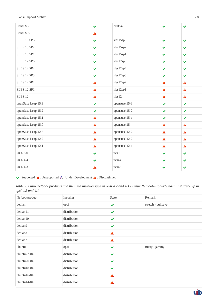| CentOS <sub>7</sub> | $\checkmark$         | centos70      | $\blacktriangledown$ | $\checkmark$         |
|---------------------|----------------------|---------------|----------------------|----------------------|
| CentOS <sub>6</sub> | A                    |               |                      |                      |
| <b>SLES 15 SP3</b>  | $\blacktriangledown$ | sles15sp3     | $\checkmark$         | $\checkmark$         |
| <b>SLES 15 SP2</b>  | $\blacktriangledown$ | sles15sp2     | ✔                    | $\checkmark$         |
| <b>SLES 15 SP1</b>  | $\blacktriangledown$ | sles15sp1     | $\checkmark$         | $\checkmark$         |
| <b>SLES 12 SP5</b>  | $\checkmark$         | sles12sp5     | $\checkmark$         | $\checkmark$         |
| <b>SLES 12 SP4</b>  | $\checkmark$         | sles12sp4     | $\blacktriangledown$ | $\checkmark$         |
| <b>SLES 12 SP3</b>  | $\blacktriangledown$ | sles12sp3     | $\checkmark$         | $\blacktriangledown$ |
| <b>SLES 12 SP2</b>  | A                    | sles12sp2     | A                    | A                    |
| <b>SLES 12 SP1</b>  | $\blacktriangle$     | sles12sp1     | A                    | A                    |
| <b>SLES 12</b>      | $\blacktriangle$     | sles12        | A                    | A                    |
| openSuse Leap 15.3  | $\checkmark$         | opensuse115-3 | $\checkmark$         | $\blacktriangledown$ |
| openSuse Leap 15.2  | $\checkmark$         | opensuse115-2 | $\checkmark$         | $\checkmark$         |
| openSuse Leap 15.1  | A                    | opensuse115-1 | $\checkmark$         | $\checkmark$         |
| openSuse Leap 15.0  | $\triangle$          | opensusel15   | A                    | A                    |
| openSuse Leap 42.3  | $\blacktriangle$     | opensusel42-2 | $\blacktriangle$     | A                    |
| openSuse Leap 42.2  | $\blacktriangle$     | opensusel42-2 | $\blacktriangle$     | A                    |
| openSuse Leap 42.1  | $\mathbf{A}$         | opensusel42-1 | A                    | A                    |
| <b>UCS 5.0</b>      | $\checkmark$         | ucs50         | ✔                    | $\blacktriangledown$ |
| <b>UCS 4.4</b>      | $\blacktriangledown$ | ucs44         | ✔                    | $\checkmark$         |
| <b>UCS 4.3</b>      | A                    | ucs43         | ✔                    | ✔                    |

 $\blacktriangleright$ : Supported  $\blacktriangleright$ : Unsupported  $\mathcal{R}_\blacktriangleright$ : Under Development  $\blacktriangle$ : Discontinued

*Table 2. Linux netboot products and the used installer type in opsi 4.2 and 4.1 / Linux Netboot-Produkte nach Installer-Typ in opsi 4.2 und 4.1*

| Netbootproduct | Installer    | <b>State</b>         | Remark             |
|----------------|--------------|----------------------|--------------------|
| debian         | opsi         | $\blacktriangledown$ | stretch - bullseye |
| debian11       | distribution | $\checkmark$         |                    |
| debian10       | distribution | $\checkmark$         |                    |
| debian9        | distribution | $\blacktriangledown$ |                    |
| debian8        | distribution | $\blacktriangle$     |                    |
| debian7        | distribution | $\blacktriangle$     |                    |
| ubuntu         | opsi         | $\checkmark$         | trusty - jammy     |
| ubuntu22-04    | distribution | $\blacktriangledown$ |                    |
| ubuntu20-04    | distribution | $\blacktriangledown$ |                    |
| ubuntu18-04    | distribution | $\checkmark$         |                    |
| $ubuntu16-04$  | distribution | $\blacktriangle$     |                    |
| $ubuntu14-04$  | distribution | A                    |                    |

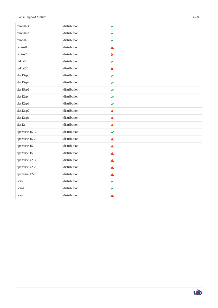| $mint20-3$    | distribution | $\checkmark$     |  |
|---------------|--------------|------------------|--|
| $min20-2$     | distribution | $\checkmark$     |  |
| $min20-1$     | distribution | ✔                |  |
| centos8       | distribution | $\blacktriangle$ |  |
| centos70      | distribution | $\pmb{\times}$   |  |
| redhat8       | distribution | ✔                |  |
| redhat70      | distribution | $\pmb{\times}$   |  |
| sles15sp3     | distribution | $\checkmark$     |  |
| sles15sp2     | distribution | $\checkmark$     |  |
| sles15sp1     | distribution | $\checkmark$     |  |
| sles12sp4     | distribution | $\checkmark$     |  |
| sles12sp3     | distribution | $\checkmark$     |  |
| sles12sp2     | distribution | $\blacktriangle$ |  |
| sles12sp1     | distribution | $\blacktriangle$ |  |
| sles12        | distribution | ▲                |  |
| opensusel15-3 | distribution | $\checkmark$     |  |
| opensuse115-2 | distribution | A                |  |
| opensusel15-1 | distribution | $\mathbf{A}$     |  |
| opensusel15   | distribution | $\triangle$      |  |
| opensusel42-3 | distribution | $\blacktriangle$ |  |
| opensusel42-2 | distribution | $\blacktriangle$ |  |
| opensusel42-1 | distribution | $\triangle$      |  |
| ucs50         | distribution | ✔                |  |
| ucs44         | distribution | $\checkmark$     |  |
| ucs43         | distribution | $\blacktriangle$ |  |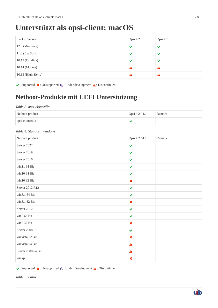# **Unterstützt als opsi-client: macOS**

| macOS Version       | Opsi 4.2     | Opsi 4.1 |
|---------------------|--------------|----------|
| 12.0 (Monterey)     | $\checkmark$ |          |
| $11.0$ (Big Sur)    |              |          |
| $10.15$ (Catalina)  |              |          |
| 10.14 (Mojave)      | A            | А        |
| 10.13 (High Sierra) | 44           | A        |

 $\blacktriangleright$ : Supported  $\blacktriangleright$ : Unsupported  $\lambda$ : Under development  $\Lambda$ : Discontinued

### **Netboot-Produkte mit UEFI Unterstützung**

#### *Table 3. opsi-clonezilla*

| Netboot product | Opsi 4.2 / 4.1 | Remark |
|-----------------|----------------|--------|
| opsi-clonezilla |                |        |

#### *Table 4. Standard Windows*

| Netboot product    | Opsi 4.2 / 4.1        | Remark |
|--------------------|-----------------------|--------|
| Server 2022        | $\checkmark$          |        |
| Server 2019        | $\blacktriangledown$  |        |
| Server 2016        | $\checkmark$          |        |
| win11 $64$ Bit     | $\blacktriangledown$  |        |
| win10 64 Bit       | $\checkmark$          |        |
| win10 32 Bit       | $\pmb{\times}$        |        |
| Server 2012 R12    | $\blacktriangledown$  |        |
| win8.1 64 Bit      | $\checkmark$          |        |
| win8.1 32 Bit      | $\pmb{\times}$        |        |
| Server 2012        | $\checkmark$          |        |
| win7 64 Bit        | $\blacktriangledown$  |        |
| win7 32 Bit        | $\pmb{\times}$        |        |
| Server 2008 R2     | $\checkmark$          |        |
| winvista 32 Bit    | $\pmb{\times}$        |        |
| winvista 64 Bit    | $\mathbf{A}$          |        |
| Server 2008 64 Bit | ▲                     |        |
| winxp              | $\boldsymbol{\times}$ |        |

#### $\blacktriangleright$ : Supported  $\blacktriangleright$ : Unsupported  $\mathcal{R}_\blacktriangleright$ : Under Development  $\blacktriangle$ : Discontinued

*Table 5. Linux*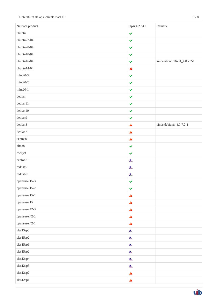| Netboot product         | Opsi 4.2 / 4.1       | Remark                      |
|-------------------------|----------------------|-----------------------------|
| ubuntu                  | $\blacktriangledown$ |                             |
| ubuntu22-04             | $\blacktriangledown$ |                             |
| ubuntu20-04             | $\blacktriangledown$ |                             |
| ubuntu18-04             | $\blacktriangledown$ |                             |
| ubuntu16-04             | $\blacktriangledown$ | since ubuntu16-04_4.0.7.2-1 |
| ubuntu14-04             | $\pmb{\times}$       |                             |
| $mint20-3$              | $\blacktriangledown$ |                             |
| $mint20-2$              | $\blacktriangledown$ |                             |
| $mint20-1$              | $\blacktriangledown$ |                             |
| debian                  | $\checkmark$         |                             |
| debian11                | $\blacktriangledown$ |                             |
| debian10                | $\blacktriangledown$ |                             |
| debian9                 | $\checkmark$         |                             |
| debian8                 | $\mathbf{A}$         | since debian8_4.0.7.2-1     |
| debian7                 | $\blacktriangle$     |                             |
| centos8                 | $\blacktriangle$     |                             |
| $\text{alma}\textbf{8}$ | $\checkmark$         |                             |
| rocky9                  | $\blacktriangledown$ |                             |
| centos70                | 瓜                    |                             |
| $\rm redhat8$           | 胍                    |                             |
| redhat70                | 瓜                    |                             |
| opensusel15-3           | $\checkmark$         |                             |
| opensusel15-2           | $\blacktriangledown$ |                             |
| opensusel15-1           | $\mathbf{A}$         |                             |
| opensusel15             | $\blacktriangle$     |                             |
| opensusel42-3           | $\mathbf{A}$         |                             |
| opensusel42-2           | $\mathbf{A}$         |                             |
| opensusel42-1           | $\mathbf{A}$         |                             |
| sles15sp3               | $\lambda$            |                             |
| sles15sp2               | $\chi_{-}$           |                             |
| sles15sp1               | $\chi_{-}$           |                             |
| sles15sp2               | $\chi_{-}$           |                             |
| sles12sp4               | $\chi$               |                             |
| sles12sp3               | $\chi_{-}$           |                             |
| sles12sp2               | $\mathbf{A}$         |                             |
| sles12sp1               | $\hat{\mathbf{A}}$   |                             |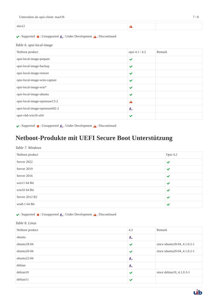#### sles12

### $\blacktriangleright$ : Supported  $\blacktriangleright$ : Unsupported  $\mathcal{R}_\blacktriangle$ : Under Development  $\blacktriangle$ : Discontinued

*Table 6. opsi-local-image*

| Netboot product                | opsi 4.1 / 4.2        | Remark |
|--------------------------------|-----------------------|--------|
| opsi-local-image-prepare       | $\checkmark$          |        |
| opsi-local-image-backup        | $\checkmark$          |        |
| opsi-local-image-restore       | $\checkmark$          |        |
| opsi-local-image-wim-capture   | $\checkmark$          |        |
| opsi-local-image-win*          | $\blacktriangleright$ |        |
| opsi-local-image-ubuntu        | $\checkmark$          |        |
| opsi-local-image-opensuse13-2  | A                     |        |
| opsi-local-image-opensusel42-2 | 瓜                     |        |
| opsi-vhd-win10-x64             | $\checkmark$          |        |

 $\hat{\mathbf{A}}$ 

 $\blacktriangleright$ : Supported  $\blacktriangleright$ : Unsupported  $\mathbf{\mathcal{A}}$ : Under Development  $\blacktriangle$ : Discontinued

### **Netboot-Produkte mit UEFI Secure Boot Unterstützung**

#### *Table 7. Windows*

*Table 8. Linux*

| Netboot product | Opsi 4.2                 |
|-----------------|--------------------------|
| Server 2022     | $\checkmark$             |
| Server 2019     | $\overline{\phantom{a}}$ |
| Server 2016     | $\overline{\phantom{a}}$ |
| win11 64 Bit    | $\overline{\phantom{a}}$ |
| win1064 Bit     |                          |
| Server 2012 R2  | $\overline{\phantom{a}}$ |
| win8.1 64 Bit   |                          |

### $\blacktriangleright$ : Supported  $\blacktriangleright$ : Unsupported  $\mathcal{R}_\blacktriangle$ : Under Development  $\blacktriangle$ : Discontinued

| Netboot product | 4.2          | Remark                      |
|-----------------|--------------|-----------------------------|
| ubuntu          | 瓜            |                             |
| $ubuntu18-04$   | ✔            | since ubuntu18-04_4.1.0.2-1 |
| $ubuntu20-04$   | $\checkmark$ | since ubuntu20-04_4.1.0.2-1 |
| $ubuntu22-04$   | 瓜            |                             |
| debian          | 瓜            |                             |
| debian10        | $\checkmark$ | since debian10_4.1.0.3-1    |
| debian11        | ✔            |                             |